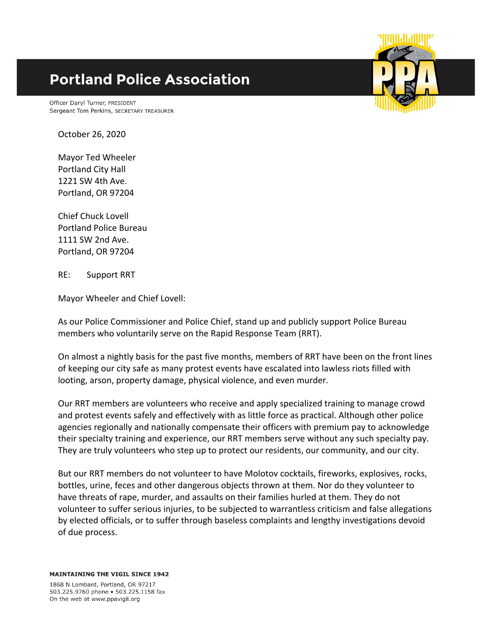## **Portland Police Association**

Officer Daryl Turner, PRESIDENT Sergeant Tom Perkins, SECRETARY TREASURER

October 26, 2020

Mayor Ted Wheeler Portland City Hall 1221 SW 4th Ave. Portland, OR 97204

Chief Chuck Lovell Portland Police Bureau 1111 SW 2nd Ave. Portland, OR 97204

RE: Support RRT

Mayor Wheeler and Chief Lovell:

As our Police Commissioner and Police Chief, stand up and publicly support Police Bureau members who voluntarily serve on the Rapid Response Team (RRT).

On almost a nightly basis for the past five months, members of RRT have been on the front lines of keeping our city safe as many protest events have escalated into lawless riots filled with looting, arson, property damage, physical violence, and even murder.

Our RRT members are volunteers who receive and apply specialized training to manage crowd and protest events safely and effectively with as little force as practical. Although other police agencies regionally and nationally compensate their officers with premium pay to acknowledge their specialty training and experience, our RRT members serve without any such specialty pay. They are truly volunteers who step up to protect our residents, our community, and our city.

But our RRT members do not volunteer to have Molotov cocktails, fireworks, explosives, rocks, bottles, urine, feces and other dangerous objects thrown at them. Nor do they volunteer to have threats of rape, murder, and assaults on their families hurled at them. They do not volunteer to suffer serious injuries, to be subjected to warrantless criticism and false allegations by elected officials, or to suffer through baseless complaints and lengthy investigations devoid of due process.

**MAINTAINING THE VIGIL SINCE 1942** 

1868 N Lombard, Portland, OR 97217 503.225.9760 phone . 503.225.1158 fax On the web at www.ppavigil.org